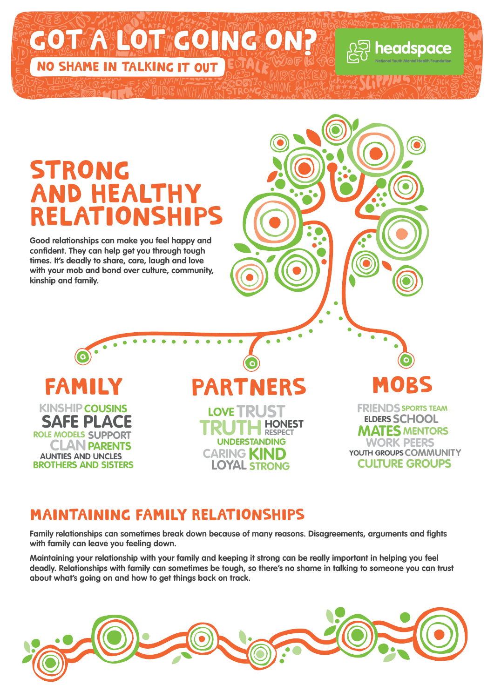

#### maintaining FAMILY RELATIONSHIPS

**Family relationships can sometimes break down because of many reasons. Disagreements, arguments and fights with family can leave you feeling down.**

**Maintaining your relationship with your family and keeping it strong can be really important in helping you feel deadly. Relationships with family can sometimes be tough, so there's no shame in talking to someone you can trust about what's going on and how to get things back on track.**